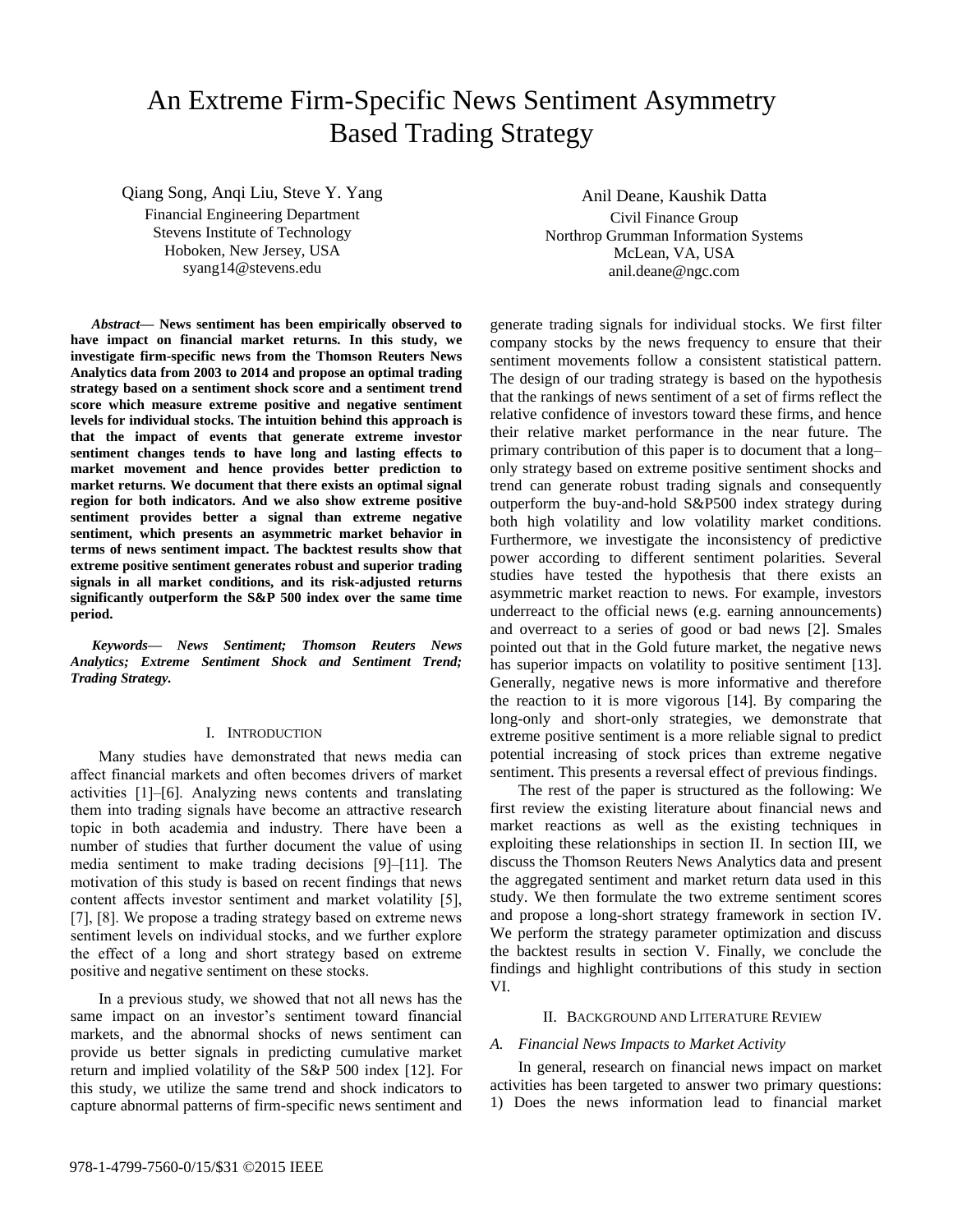# An Extreme Firm-Specific News Sentiment Asymmetry Based Trading Strategy

Qiang Song, Anqi Liu, Steve Y. Yang

Financial Engineering Department Stevens Institute of Technology Hoboken, New Jersey, USA syang14@stevens.edu

*Abstract***— News sentiment has been empirically observed to have impact on financial market returns. In this study, we investigate firm-specific news from the Thomson Reuters News Analytics data from 2003 to 2014 and propose an optimal trading strategy based on a sentiment shock score and a sentiment trend score which measure extreme positive and negative sentiment levels for individual stocks. The intuition behind this approach is that the impact of events that generate extreme investor sentiment changes tends to have long and lasting effects to market movement and hence provides better prediction to market returns. We document that there exists an optimal signal region for both indicators. And we also show extreme positive sentiment provides better a signal than extreme negative sentiment, which presents an asymmetric market behavior in terms of news sentiment impact. The backtest results show that extreme positive sentiment generates robust and superior trading signals in all market conditions, and its risk-adjusted returns significantly outperform the S&P 500 index over the same time period.** 

*Keywords— News Sentiment; Thomson Reuters News Analytics; Extreme Sentiment Shock and Sentiment Trend; Trading Strategy.*

## I. INTRODUCTION

Many studies have demonstrated that news media can affect financial markets and often becomes drivers of market activities [1]–[6]. Analyzing news contents and translating them into trading signals have become an attractive research topic in both academia and industry. There have been a number of studies that further document the value of using media sentiment to make trading decisions [9]–[11]. The motivation of this study is based on recent findings that news content affects investor sentiment and market volatility [5], [7], [8]. We propose a trading strategy based on extreme news sentiment levels on individual stocks, and we further explore the effect of a long and short strategy based on extreme positive and negative sentiment on these stocks.

In a previous study, we showed that not all news has the same impact on an investor's sentiment toward financial markets, and the abnormal shocks of news sentiment can provide us better signals in predicting cumulative market return and implied volatility of the S&P 500 index [12]. For this study, we utilize the same trend and shock indicators to capture abnormal patterns of firm-specific news sentiment and

Anil Deane, Kaushik Datta Civil Finance Group Northrop Grumman Information Systems McLean, VA, USA anil.deane@ngc.com

generate trading signals for individual stocks. We first filter company stocks by the news frequency to ensure that their sentiment movements follow a consistent statistical pattern. The design of our trading strategy is based on the hypothesis that the rankings of news sentiment of a set of firms reflect the relative confidence of investors toward these firms, and hence their relative market performance in the near future. The primary contribution of this paper is to document that a long– only strategy based on extreme positive sentiment shocks and trend can generate robust trading signals and consequently outperform the buy-and-hold S&P500 index strategy during both high volatility and low volatility market conditions. Furthermore, we investigate the inconsistency of predictive power according to different sentiment polarities. Several studies have tested the hypothesis that there exists an asymmetric market reaction to news. For example, investors underreact to the official news (e.g. earning announcements) and overreact to a series of good or bad news [2]. Smales pointed out that in the Gold future market, the negative news has superior impacts on volatility to positive sentiment [13]. Generally, negative news is more informative and therefore the reaction to it is more vigorous [14]. By comparing the long-only and short-only strategies, we demonstrate that extreme positive sentiment is a more reliable signal to predict potential increasing of stock prices than extreme negative sentiment. This presents a reversal effect of previous findings.

The rest of the paper is structured as the following: We first review the existing literature about financial news and market reactions as well as the existing techniques in exploiting these relationships in section II. In section III, we discuss the Thomson Reuters News Analytics data and present the aggregated sentiment and market return data used in this study. We then formulate the two extreme sentiment scores and propose a long-short strategy framework in section IV. We perform the strategy parameter optimization and discuss the backtest results in section V. Finally, we conclude the findings and highlight contributions of this study in section VI.

## II. BACKGROUND AND LITERATURE REVIEW

## *A. Financial News Impacts to Market Activity*

In general, research on financial news impact on market activities has been targeted to answer two primary questions: 1) Does the news information lead to financial market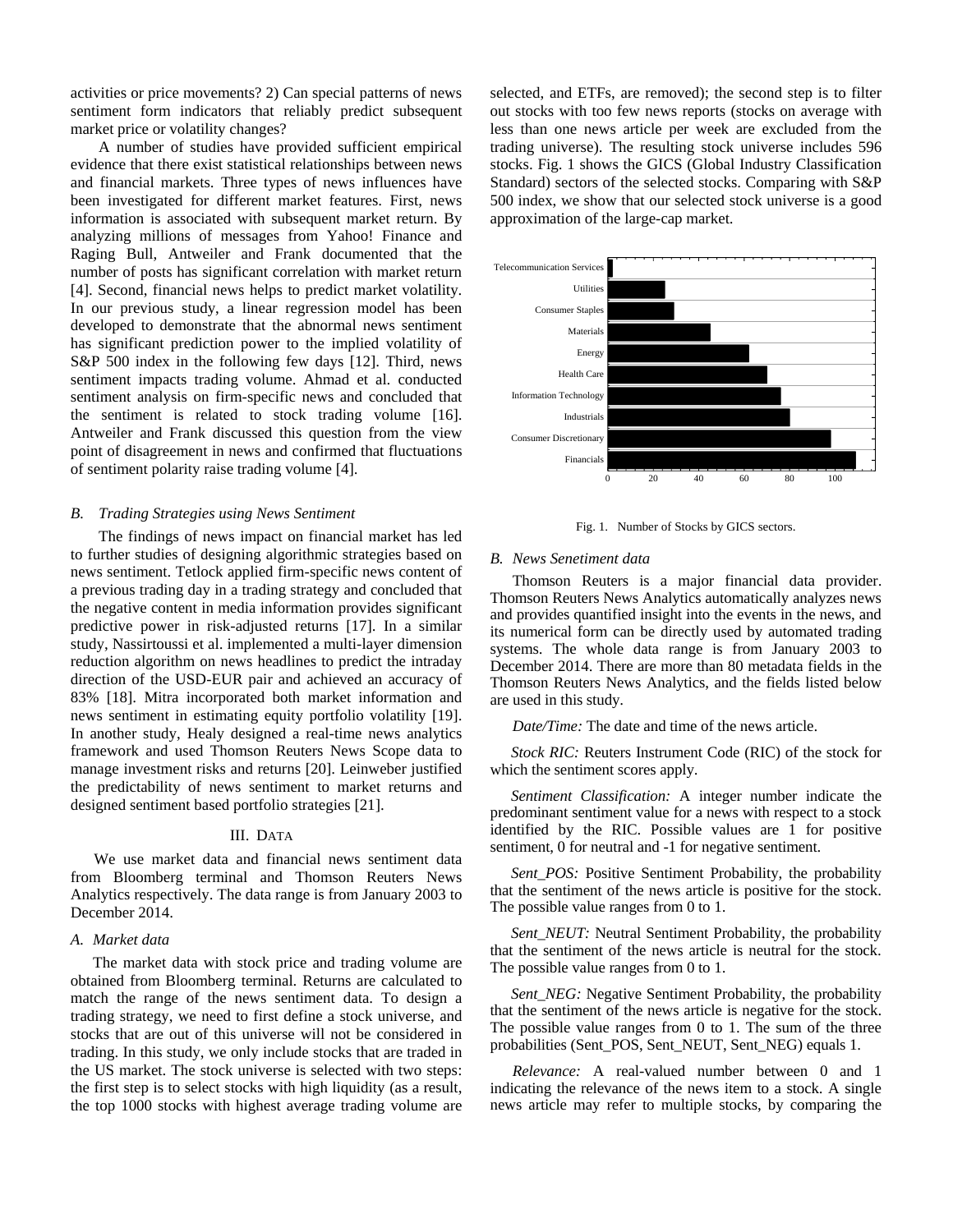activities or price movements? 2) Can special patterns of news sentiment form indicators that reliably predict subsequent market price or volatility changes?

A number of studies have provided sufficient empirical evidence that there exist statistical relationships between news and financial markets. Three types of news influences have been investigated for different market features. First, news information is associated with subsequent market return. By analyzing millions of messages from Yahoo! Finance and Raging Bull, Antweiler and Frank documented that the number of posts has significant correlation with market return [4]. Second, financial news helps to predict market volatility. In our previous study, a linear regression model has been developed to demonstrate that the abnormal news sentiment has significant prediction power to the implied volatility of S&P 500 index in the following few days [12]. Third, news sentiment impacts trading volume. Ahmad et al. conducted sentiment analysis on firm-specific news and concluded that the sentiment is related to stock trading volume [16]. Antweiler and Frank discussed this question from the view point of disagreement in news and confirmed that fluctuations of sentiment polarity raise trading volume [4].

## *B. Trading Strategies using News Sentiment*

The findings of news impact on financial market has led to further studies of designing algorithmic strategies based on news sentiment. Tetlock applied firm-specific news content of a previous trading day in a trading strategy and concluded that the negative content in media information provides significant predictive power in risk-adjusted returns [17]. In a similar study, Nassirtoussi et al. implemented a multi-layer dimension reduction algorithm on news headlines to predict the intraday direction of the USD-EUR pair and achieved an accuracy of 83% [18]. Mitra incorporated both market information and news sentiment in estimating equity portfolio volatility [19]. In another study, Healy designed a real-time news analytics framework and used Thomson Reuters News Scope data to manage investment risks and returns [20]. Leinweber justified the predictability of news sentiment to market returns and designed sentiment based portfolio strategies [21].

## III. DATA

 We use market data and financial news sentiment data from Bloomberg terminal and Thomson Reuters News Analytics respectively. The data range is from January 2003 to December 2014.

## *A. Market data*

The market data with stock price and trading volume are obtained from Bloomberg terminal. Returns are calculated to match the range of the news sentiment data. To design a trading strategy, we need to first define a stock universe, and stocks that are out of this universe will not be considered in trading. In this study, we only include stocks that are traded in the US market. The stock universe is selected with two steps: the first step is to select stocks with high liquidity (as a result, the top 1000 stocks with highest average trading volume are selected, and ETFs, are removed); the second step is to filter out stocks with too few news reports (stocks on average with less than one news article per week are excluded from the trading universe). The resulting stock universe includes 596 stocks. Fig. 1 shows the GICS (Global Industry Classification Standard) sectors of the selected stocks. Comparing with S&P 500 index, we show that our selected stock universe is a good approximation of the large-cap market.



Fig. 1. Number of Stocks by GICS sectors.

#### *B. News Senetiment data*

Thomson Reuters is a major financial data provider. Thomson Reuters News Analytics automatically analyzes news and provides quantified insight into the events in the news, and its numerical form can be directly used by automated trading systems. The whole data range is from January 2003 to December 2014. There are more than 80 metadata fields in the Thomson Reuters News Analytics, and the fields listed below are used in this study.

*Date/Time:* The date and time of the news article.

*Stock RIC:* Reuters Instrument Code (RIC) of the stock for which the sentiment scores apply.

*Sentiment Classification:* A integer number indicate the predominant sentiment value for a news with respect to a stock identified by the RIC. Possible values are 1 for positive sentiment, 0 for neutral and -1 for negative sentiment.

*Sent\_POS:* Positive Sentiment Probability, the probability that the sentiment of the news article is positive for the stock. The possible value ranges from 0 to 1.

*Sent\_NEUT:* Neutral Sentiment Probability, the probability that the sentiment of the news article is neutral for the stock. The possible value ranges from 0 to 1.

*Sent NEG:* Negative Sentiment Probability, the probability that the sentiment of the news article is negative for the stock. The possible value ranges from 0 to 1. The sum of the three probabilities (Sent\_POS, Sent\_NEUT, Sent\_NEG) equals 1.

*Relevance:* A real-valued number between 0 and 1 indicating the relevance of the news item to a stock. A single news article may refer to multiple stocks, by comparing the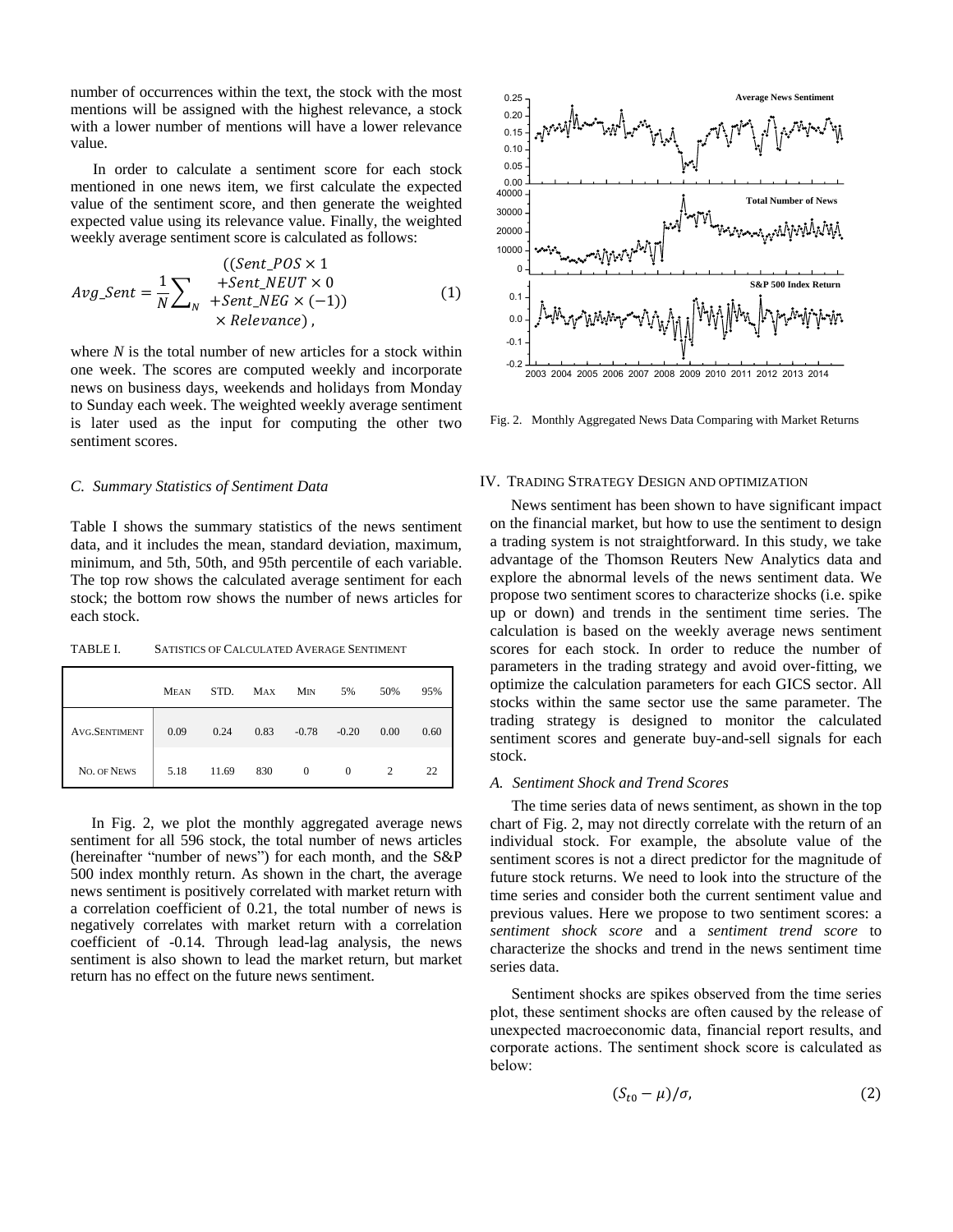number of occurrences within the text, the stock with the most mentions will be assigned with the highest relevance, a stock with a lower number of mentions will have a lower relevance value.

In order to calculate a sentiment score for each stock mentioned in one news item, we first calculate the expected value of the sentiment score, and then generate the weighted expected value using its relevance value. Finally, the weighted weekly average sentiment score is calculated as follows:

$$
Avg\_Sent = \frac{1}{N} \sum_{N} \frac{+Sent\_NEUT \times 0}{+Sent\_NEG \times (-1))}
$$
  
× *Relevance*), (1)

where *N* is the total number of new articles for a stock within one week. The scores are computed weekly and incorporate news on business days, weekends and holidays from Monday to Sunday each week. The weighted weekly average sentiment is later used as the input for computing the other two sentiment scores.

## *C. Summary Statistics of Sentiment Data*

Table I shows the summary statistics of the news sentiment data, and it includes the mean, standard deviation, maximum, minimum, and 5th, 50th, and 95th percentile of each variable. The top row shows the calculated average sentiment for each stock; the bottom row shows the number of news articles for each stock.

TABLE I. SATISTICS OF CALCULATED AVERAGE SENTIMENT

|               | <b>MEAN</b> | STD.  | <b>MAX</b> | <b>M<sub>IN</sub></b> | 5%           | 50%            | 95%  |
|---------------|-------------|-------|------------|-----------------------|--------------|----------------|------|
| AVG.SENTIMENT | 0.09        | 0.24  | 0.83       | $-0.78$               | $-0.20$      | 0.00           | 0.60 |
| NO. OF NEWS   | 5.18        | 11.69 | 830        | $\mathbf{0}$          | $\mathbf{0}$ | $\overline{c}$ | 22   |

In Fig. 2, we plot the monthly aggregated average news sentiment for all 596 stock, the total number of news articles (hereinafter "number of news") for each month, and the S&P 500 index monthly return. As shown in the chart, the average news sentiment is positively correlated with market return with a correlation coefficient of 0.21, the total number of news is negatively correlates with market return with a correlation coefficient of -0.14. Through lead-lag analysis, the news sentiment is also shown to lead the market return, but market return has no effect on the future news sentiment.



Fig. 2. Monthly Aggregated News Data Comparing with Market Returns

#### IV. TRADING STRATEGY DESIGN AND OPTIMIZATION

News sentiment has been shown to have significant impact on the financial market, but how to use the sentiment to design a trading system is not straightforward. In this study, we take advantage of the Thomson Reuters New Analytics data and explore the abnormal levels of the news sentiment data. We propose two sentiment scores to characterize shocks (i.e. spike up or down) and trends in the sentiment time series. The calculation is based on the weekly average news sentiment scores for each stock. In order to reduce the number of parameters in the trading strategy and avoid over-fitting, we optimize the calculation parameters for each GICS sector. All stocks within the same sector use the same parameter. The trading strategy is designed to monitor the calculated sentiment scores and generate buy-and-sell signals for each stock.

#### *A. Sentiment Shock and Trend Scores*

The time series data of news sentiment, as shown in the top chart of Fig. 2, may not directly correlate with the return of an individual stock. For example, the absolute value of the sentiment scores is not a direct predictor for the magnitude of future stock returns. We need to look into the structure of the time series and consider both the current sentiment value and previous values. Here we propose to two sentiment scores: a *sentiment shock score* and a *sentiment trend score* to characterize the shocks and trend in the news sentiment time series data.

Sentiment shocks are spikes observed from the time series plot, these sentiment shocks are often caused by the release of unexpected macroeconomic data, financial report results, and corporate actions. The sentiment shock score is calculated as below:

$$
(S_{t0} - \mu)/\sigma, \tag{2}
$$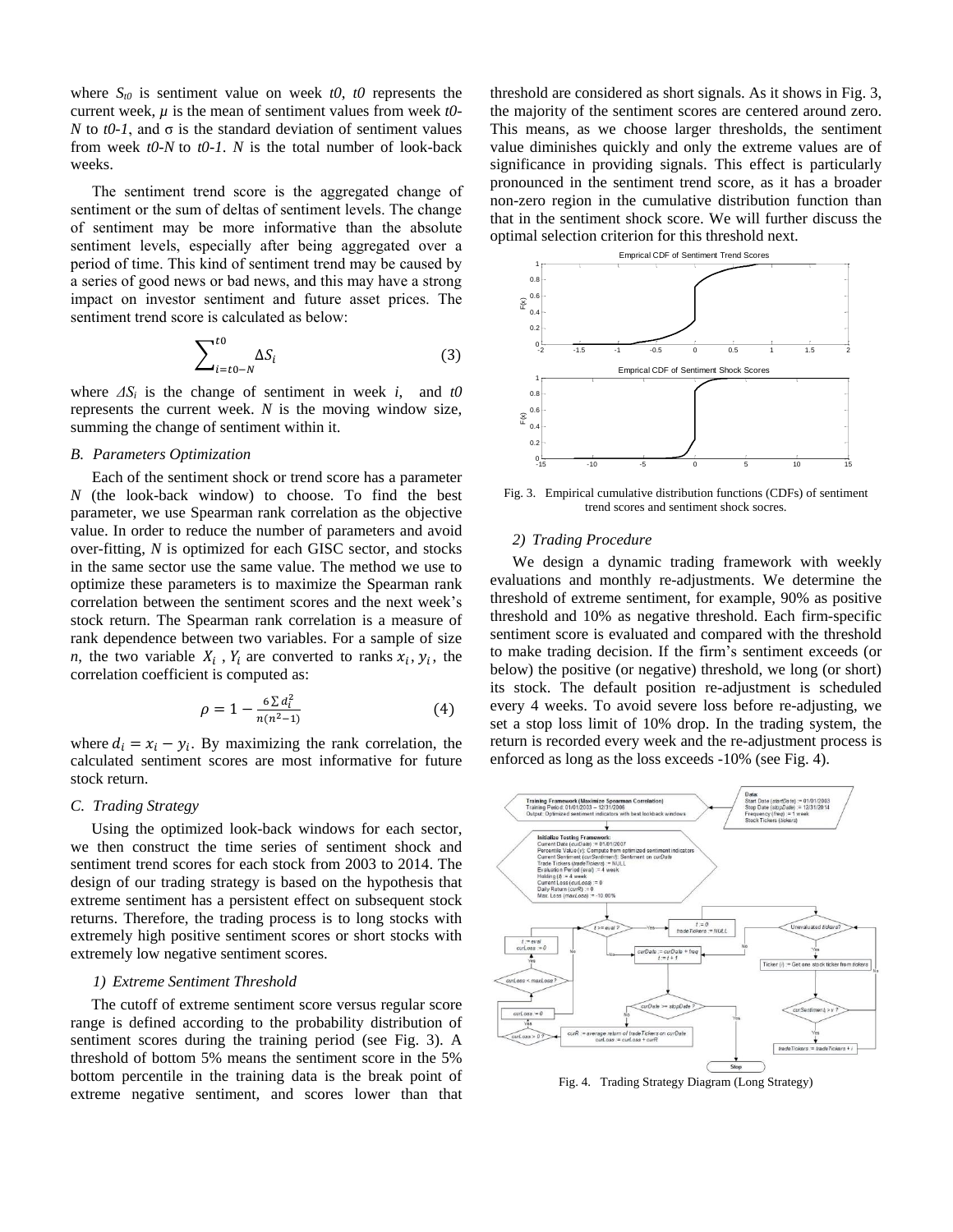where  $S_{t0}$  is sentiment value on week  $t0$ ,  $t0$  represents the current week,  $\mu$  is the mean of sentiment values from week  $t0$ -*N* to  $t0$ -*I*, and  $\sigma$  is the standard deviation of sentiment values from week *t0-N* to *t0-1*. *N* is the total number of look-back weeks.

The sentiment trend score is the aggregated change of sentiment or the sum of deltas of sentiment levels. The change of sentiment may be more informative than the absolute sentiment levels, especially after being aggregated over a period of time. This kind of sentiment trend may be caused by a series of good news or bad news, and this may have a strong impact on investor sentiment and future asset prices. The sentiment trend score is calculated as below:

$$
\sum_{i=t0-N}^{t0} \Delta S_i \tag{3}
$$

where *ΔS<sup>i</sup>* is the change of sentiment in week *i*, and *t0* represents the current week. *N* is the moving window size, summing the change of sentiment within it.

## *B. Parameters Optimization*

Each of the sentiment shock or trend score has a parameter *N* (the look-back window) to choose. To find the best parameter, we use Spearman rank correlation as the objective value. In order to reduce the number of parameters and avoid over-fitting, *N* is optimized for each GISC sector, and stocks in the same sector use the same value. The method we use to optimize these parameters is to maximize the Spearman rank correlation between the sentiment scores and the next week's stock return. The Spearman rank correlation is a measure of rank dependence between two variables. For a sample of size *n*, the two variable  $X_i$ ,  $Y_i$  are converted to ranks  $x_i$ ,  $y_i$ , the correlation coefficient is computed as:

$$
\rho = 1 - \frac{6\sum d_i^2}{n(n^2 - 1)}\tag{4}
$$

where  $d_i = x_i - y_i$ . By maximizing the rank correlation, the calculated sentiment scores are most informative for future stock return.

## *C. Trading Strategy*

Using the optimized look-back windows for each sector, we then construct the time series of sentiment shock and sentiment trend scores for each stock from 2003 to 2014. The design of our trading strategy is based on the hypothesis that extreme sentiment has a persistent effect on subsequent stock returns. Therefore, the trading process is to long stocks with extremely high positive sentiment scores or short stocks with extremely low negative sentiment scores.

#### *1) Extreme Sentiment Threshold*

The cutoff of extreme sentiment score versus regular score range is defined according to the probability distribution of sentiment scores during the training period (see [Fig. 3\)](#page-3-0). A threshold of bottom 5% means the sentiment score in the 5% bottom percentile in the training data is the break point of extreme negative sentiment, and scores lower than that threshold are considered as short signals. As it shows in Fig. 3, the majority of the sentiment scores are centered around zero. This means, as we choose larger thresholds, the sentiment value diminishes quickly and only the extreme values are of significance in providing signals. This effect is particularly pronounced in the sentiment trend score, as it has a broader non-zero region in the cumulative distribution function than that in the sentiment shock score. We will further discuss the optimal selection criterion for this threshold next.



<span id="page-3-0"></span>Fig. 3. Empirical cumulative distribution functions (CDFs) of sentiment trend scores and sentiment shock socres.

## *2) Trading Procedure*

We design a dynamic trading framework with weekly evaluations and monthly re-adjustments. We determine the threshold of extreme sentiment, for example, 90% as positive threshold and 10% as negative threshold. Each firm-specific sentiment score is evaluated and compared with the threshold to make trading decision. If the firm's sentiment exceeds (or below) the positive (or negative) threshold, we long (or short) its stock. The default position re-adjustment is scheduled every 4 weeks. To avoid severe loss before re-adjusting, we set a stop loss limit of 10% drop. In the trading system, the return is recorded every week and the re-adjustment process is enforced as long as the loss exceeds -10% (see [Fig. 4\)](#page-3-1).



<span id="page-3-1"></span>Fig. 4. Trading Strategy Diagram (Long Strategy)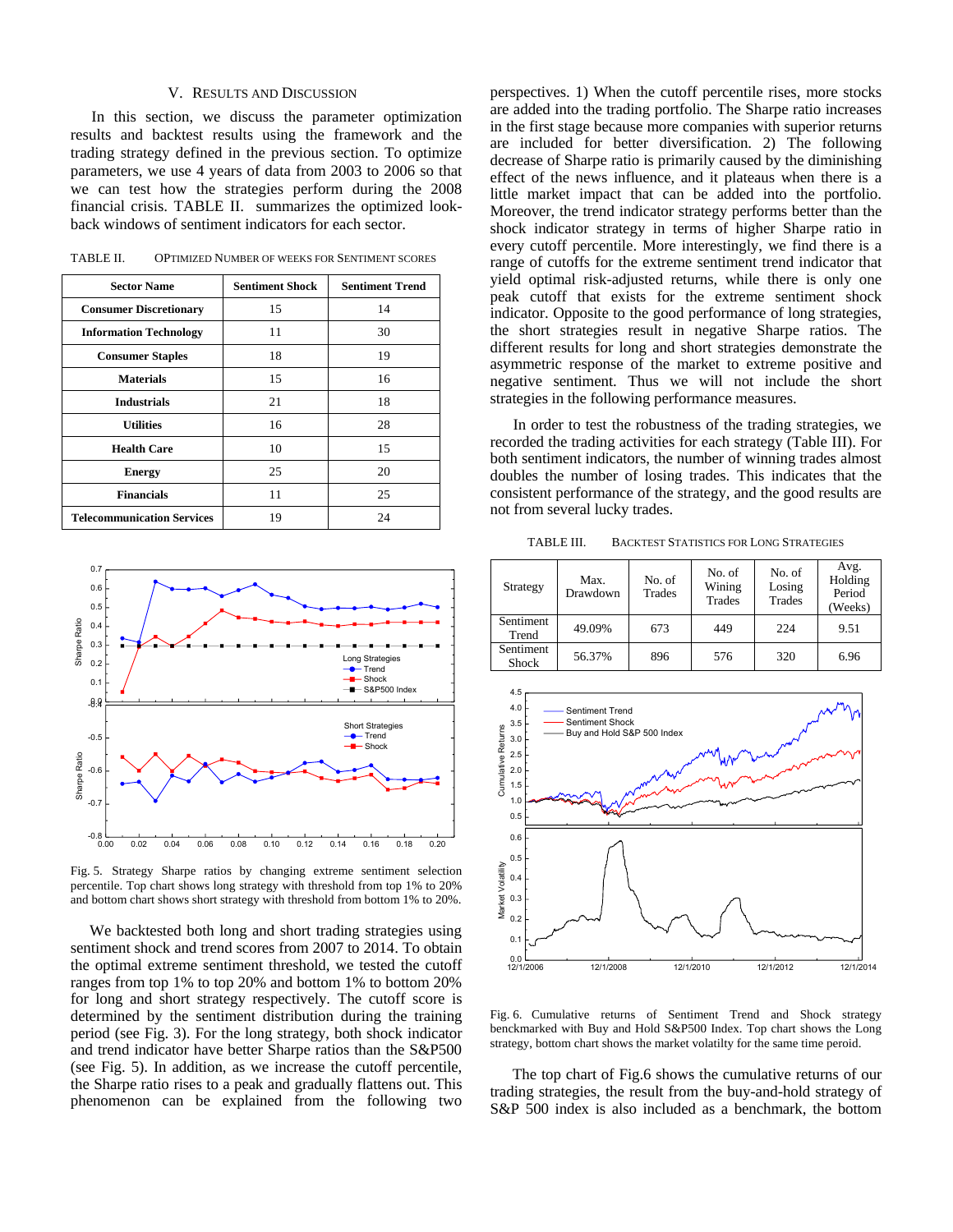#### V. RESULTS AND DISCUSSION

In this section, we discuss the parameter optimization results and backtest results using the framework and the trading strategy defined in the previous section. To optimize parameters, we use 4 years of data from 2003 to 2006 so that we can test how the strategies perform during the 2008 financial crisis. [TABLE II.](#page-4-0) summarizes the optimized lookback windows of sentiment indicators for each sector.

| <b>Sector Name</b>                | <b>Sentiment Shock</b> | <b>Sentiment Trend</b> |
|-----------------------------------|------------------------|------------------------|
| <b>Consumer Discretionary</b>     | 15                     | 14                     |
| <b>Information Technology</b>     | 11                     | 30                     |
| <b>Consumer Staples</b>           | 18                     | 19                     |
| <b>Materials</b>                  | 15                     | 16                     |
| <b>Industrials</b>                | 21                     | 18                     |
| <b>Utilities</b>                  | 16                     | 28                     |
| <b>Health Care</b>                | 10                     | 15                     |
| <b>Energy</b>                     | 25                     | 20                     |
| <b>Financials</b>                 | 11                     | 25                     |
| <b>Telecommunication Services</b> | 19                     | 24                     |

<span id="page-4-0"></span>TABLE II. OPTIMIZED NUMBER OF WEEKS FOR SENTIMENT SCORES



<span id="page-4-1"></span>Fig. 5. Strategy Sharpe ratios by changing extreme sentiment selection percentile. Top chart shows long strategy with threshold from top 1% to 20% and bottom chart shows short strategy with threshold from bottom 1% to 20%.

 We backtested both long and short trading strategies using sentiment shock and trend scores from 2007 to 2014. To obtain the optimal extreme sentiment threshold, we tested the cutoff ranges from top 1% to top 20% and bottom 1% to bottom 20% for long and short strategy respectively. The cutoff score is determined by the sentiment distribution during the training period (see [Fig. 3\)](#page-3-0). For the long strategy, both shock indicator and trend indicator have better Sharpe ratios than the S&P500 (see [Fig. 5\)](#page-4-1). In addition, as we increase the cutoff percentile, the Sharpe ratio rises to a peak and gradually flattens out. This phenomenon can be explained from the following two

perspectives. 1) When the cutoff percentile rises, more stocks are added into the trading portfolio. The Sharpe ratio increases in the first stage because more companies with superior returns are included for better diversification. 2) The following decrease of Sharpe ratio is primarily caused by the diminishing effect of the news influence, and it plateaus when there is a little market impact that can be added into the portfolio. Moreover, the trend indicator strategy performs better than the shock indicator strategy in terms of higher Sharpe ratio in every cutoff percentile. More interestingly, we find there is a range of cutoffs for the extreme sentiment trend indicator that yield optimal risk-adjusted returns, while there is only one peak cutoff that exists for the extreme sentiment shock indicator. Opposite to the good performance of long strategies, the short strategies result in negative Sharpe ratios. The different results for long and short strategies demonstrate the asymmetric response of the market to extreme positive and negative sentiment. Thus we will not include the short strategies in the following performance measures.

 In order to test the robustness of the trading strategies, we recorded the trading activities for each strategy (Table III). For both sentiment indicators, the number of winning trades almost doubles the number of losing trades. This indicates that the consistent performance of the strategy, and the good results are not from several lucky trades.

TABLE III. BACKTEST STATISTICS FOR LONG STRATEGIES

| Strategy                  | Max.<br>Drawdown | No. of<br>Trades | No. of<br>Wining<br>Trades | No. of<br>Losing<br>Trades | Avg.<br>Holding<br>Period<br>(Weeks) |
|---------------------------|------------------|------------------|----------------------------|----------------------------|--------------------------------------|
| Sentiment<br>Trend        | 49.09%           | 673              | 449                        | 224                        | 9.51                                 |
| Sentiment<br><b>Shock</b> | 56.37%           | 896              | 576                        | 320                        | 6.96                                 |



<span id="page-4-2"></span>Fig. 6. Cumulative returns of Sentiment Trend and Shock strategy benckmarked with Buy and Hold S&P500 Index. Top chart shows the Long strategy, bottom chart shows the market volatilty for the same time peroid.

The top chart of Fig.6 shows the cumulative returns of our trading strategies, the result from the buy-and-hold strategy of S&P 500 index is also included as a benchmark, the bottom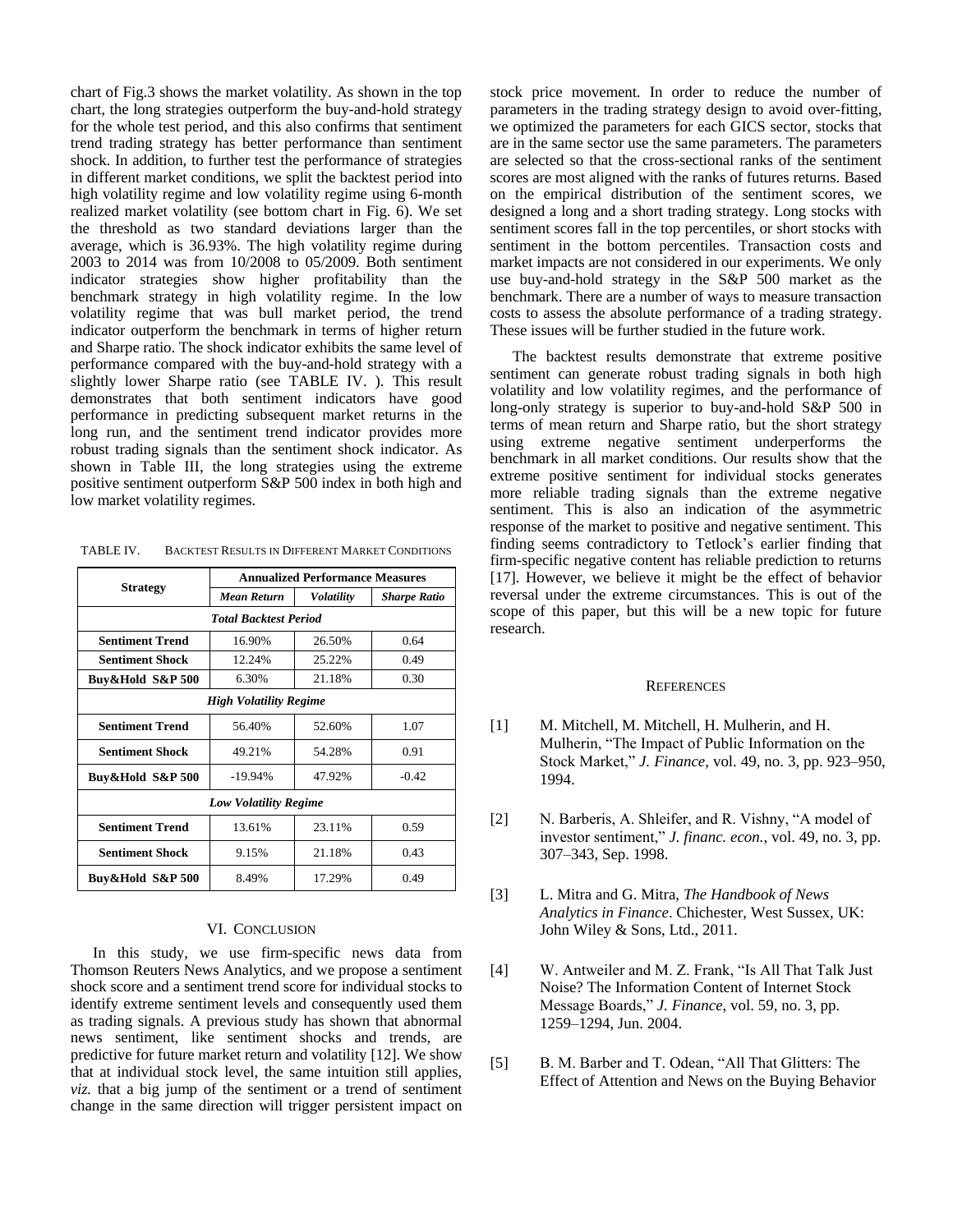chart of Fig.3 shows the market volatility. As shown in the top chart, the long strategies outperform the buy-and-hold strategy for the whole test period, and this also confirms that sentiment trend trading strategy has better performance than sentiment shock. In addition, to further test the performance of strategies in different market conditions, we split the backtest period into high volatility regime and low volatility regime using 6-month realized market volatility (see bottom chart in [Fig. 6\)](#page-4-2). We set the threshold as two standard deviations larger than the average, which is 36.93%. The high volatility regime during 2003 to 2014 was from 10/2008 to 05/2009. Both sentiment indicator strategies show higher profitability than the benchmark strategy in high volatility regime. In the low volatility regime that was bull market period, the trend indicator outperform the benchmark in terms of higher return and Sharpe ratio. The shock indicator exhibits the same level of performance compared with the buy-and-hold strategy with a slightly lower Sharpe ratio (see [TABLE IV. \)](#page-5-0). This result demonstrates that both sentiment indicators have good performance in predicting subsequent market returns in the long run, and the sentiment trend indicator provides more robust trading signals than the sentiment shock indicator. As shown in Table III, the long strategies using the extreme positive sentiment outperform S&P 500 index in both high and low market volatility regimes.

<span id="page-5-0"></span>TABLE IV. BACKTEST RESULTS IN DIFFERENT MARKET CONDITIONS

|                               | <b>Annualized Performance Measures</b> |                          |                     |  |  |
|-------------------------------|----------------------------------------|--------------------------|---------------------|--|--|
| <b>Strategy</b>               | <b>Mean Return</b>                     | <i><b>Volatility</b></i> | <b>Sharpe Ratio</b> |  |  |
| <b>Total Backtest Period</b>  |                                        |                          |                     |  |  |
| <b>Sentiment Trend</b>        | 16.90%                                 | 26.50%                   | 0.64                |  |  |
| <b>Sentiment Shock</b>        | 12.24%                                 | 25.22%                   | 0.49                |  |  |
| Buy&Hold S&P 500              | 6.30%                                  | 21.18%                   | 0.30                |  |  |
| <b>High Volatility Regime</b> |                                        |                          |                     |  |  |
| <b>Sentiment Trend</b>        | 56.40%                                 | 52.60%                   | 1.07                |  |  |
| <b>Sentiment Shock</b>        | 49.21%                                 | 54.28%                   | 0.91                |  |  |
| Buy&Hold S&P 500              | $-19.94\%$                             | 47.92%                   | $-0.42$             |  |  |
| <b>Low Volatility Regime</b>  |                                        |                          |                     |  |  |
| <b>Sentiment Trend</b>        | 13.61%                                 | 23.11%                   | 0.59                |  |  |
| <b>Sentiment Shock</b>        | 9.15%                                  | 21.18%                   | 0.43                |  |  |
| Buy&Hold S&P 500              | 8.49%                                  | 17.29%                   | 0.49                |  |  |

# VI. CONCLUSION

In this study, we use firm-specific news data from Thomson Reuters News Analytics, and we propose a sentiment shock score and a sentiment trend score for individual stocks to identify extreme sentiment levels and consequently used them as trading signals. A previous study has shown that abnormal news sentiment, like sentiment shocks and trends, are predictive for future market return and volatility [12]. We show that at individual stock level, the same intuition still applies, *viz.* that a big jump of the sentiment or a trend of sentiment change in the same direction will trigger persistent impact on stock price movement. In order to reduce the number of parameters in the trading strategy design to avoid over-fitting, we optimized the parameters for each GICS sector, stocks that are in the same sector use the same parameters. The parameters are selected so that the cross-sectional ranks of the sentiment scores are most aligned with the ranks of futures returns. Based on the empirical distribution of the sentiment scores, we designed a long and a short trading strategy. Long stocks with sentiment scores fall in the top percentiles, or short stocks with sentiment in the bottom percentiles. Transaction costs and market impacts are not considered in our experiments. We only use buy-and-hold strategy in the S&P 500 market as the benchmark. There are a number of ways to measure transaction costs to assess the absolute performance of a trading strategy. These issues will be further studied in the future work.

The backtest results demonstrate that extreme positive sentiment can generate robust trading signals in both high volatility and low volatility regimes, and the performance of long-only strategy is superior to buy-and-hold S&P 500 in terms of mean return and Sharpe ratio, but the short strategy using extreme negative sentiment underperforms the benchmark in all market conditions. Our results show that the extreme positive sentiment for individual stocks generates more reliable trading signals than the extreme negative sentiment. This is also an indication of the asymmetric response of the market to positive and negative sentiment. This finding seems contradictory to Tetlock's earlier finding that firm-specific negative content has reliable prediction to returns [17]. However, we believe it might be the effect of behavior reversal under the extreme circumstances. This is out of the scope of this paper, but this will be a new topic for future research.

#### **REFERENCES**

- [1] M. Mitchell, M. Mitchell, H. Mulherin, and H. Mulherin, "The Impact of Public Information on the Stock Market," *J. Finance*, vol. 49, no. 3, pp. 923–950, 1994.
- [2] N. Barberis, A. Shleifer, and R. Vishny, "A model of investor sentiment," *J. financ. econ.*, vol. 49, no. 3, pp. 307–343, Sep. 1998.
- [3] L. Mitra and G. Mitra, *The Handbook of News Analytics in Finance*. Chichester, West Sussex, UK: John Wiley & Sons, Ltd., 2011.
- [4] W. Antweiler and M. Z. Frank, "Is All That Talk Just Noise? The Information Content of Internet Stock Message Boards," *J. Finance*, vol. 59, no. 3, pp. 1259–1294, Jun. 2004.
- [5] B. M. Barber and T. Odean, "All That Glitters: The Effect of Attention and News on the Buying Behavior